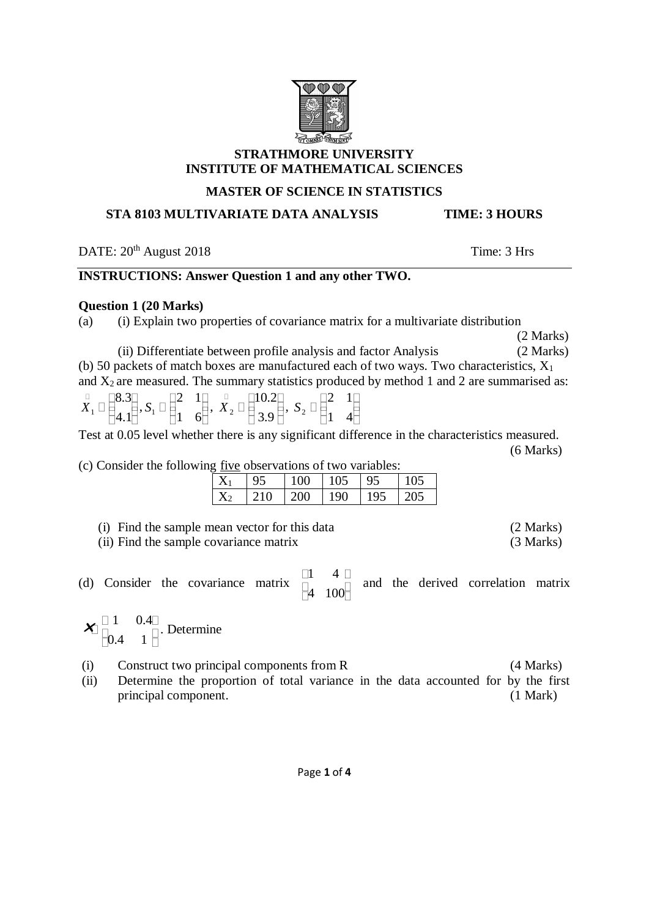## **STRATHMORE UNIVERSITY INSTITUTE OF MATHEMATICAL SCIENCES**

# **MASTER OF SCIENCE IN STATISTICS**

# **STA 8103 MULTIVARIATE DATA ANALYSIS TIME: 3 HOURS**

DATE:  $20^{th}$  August 2018 Time: 3 Hrs

# **INSTRUCTIONS: Answer Question 1 and any other TWO.**

## **Question 1 (20 Marks)**

(a) (i) Explain two properties of covariance matrix for a multivariate distribution

(2 Marks)

(ii) Differentiate between profile analysis and factor Analysis (2 Marks) (b) 50 packets of match boxes are manufactured each of two ways. Two characteristics,  $X_1$ and  $X_2$  are measured. The summary statistics produced by method 1 and 2 are summarised as:

 4.1 8.3 *X*1 , 1 6 2 1 *S*1 , 3.9 10.2 *X*2 , 1 4 2 1 *S*2

Test at 0.05 level whether there is any significant difference in the characteristics measured. (6 Marks)

(c) Consider the following five observations of two variables:

| $\cdots$<br><u>http://www.common.com/mond</u> |  |  |     |     |  |
|-----------------------------------------------|--|--|-----|-----|--|
|                                               |  |  | 100 |     |  |
|                                               |  |  | ንበበ | 190 |  |

| (i) Find the sample mean vector for this data | (2 Marks) |
|-----------------------------------------------|-----------|
| (ii) Find the sample covariance matrix        | (3 Marks) |

(d) Consider the covariance matrix  $\begin{bmatrix} 1 & 1 & 1 \\ 1 & 1 & 1 \end{bmatrix}$ H  $\Box$ Ō H  $\overline{\Box}$ 4 100  $\vert 1 \vert 4$ and the derived correlation matrix

Ō i  $\overline{\Box}$ ī i  $\overline{\mathbf{h}}$ 0.4 1  $\mathbf{X}$   $\begin{bmatrix} 1 & 0.4 \end{bmatrix}$ . Determine

(i) Construct two principal components from R (4 Marks)

(ii) Determine the proportion of total variance in the data accounted for by the first principal component. (1 Mark)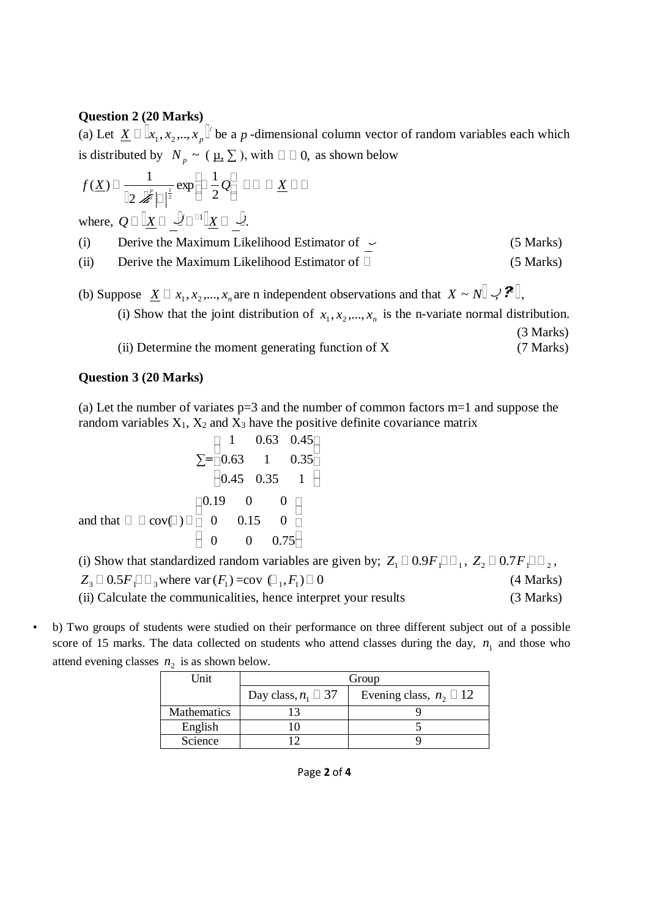## **Question 2 (20 Marks)**

(a) Let  $\underline{X} \Box \Box x_1, x_2, ..., x_n$ <sup>"</sup>  $\underline{X} \Box \Box x_1, x_2, ..., x_p$  be a p-dimensional column vector of random variables each which is distributed by  $N_p \sim (\mu, \Sigma)$ , with  $\square \square 0$ , as shown below

$$
f(\underline{X}) \Box \frac{1}{\left\|2 \mathcal{L} \right\|^{2}} \exp \left\{-\frac{1}{2} \mathcal{Q} \right\} \Box \Box \Delta \underline{X} \Box \Box
$$

where,  $Q \Box \Box X \Box \Box \Box \Box \Box X \Box \Box$ .

| (i)  | Derive the Maximum Likelihood Estimator of $\sim$ | (5 Marks) |
|------|---------------------------------------------------|-----------|
| (ii) | Derive the Maximum Likelihood Estimator of $\Box$ | (5 Marks) |

- (b) Suppose  $\underline{X} \square x_1, x_2, ..., x_n$  are n independent observations and that  $X \sim N \square \sim \mathcal{P} \square$ ,<br>(i) Show that the joint distribution of  $x_1, x_2, ..., x_n$  is the n-variate normal distri  $x_1, x_2, \ldots, x_n$  is the n-variate normal distribution. (3 Marks)
	- (ii) Determine the moment generating function of X (7 Marks)

## **Question 3 (20 Marks)**

(a) Let the number of variates  $p=3$  and the number of common factors  $m=1$  and suppose the random variables  $X_1$ ,  $X_2$  and  $X_3$  have the positive definite covariance matrix

$$
\Sigma = \begin{bmatrix} 1 & 0.63 & 0.45 \\ 0.63 & 1 & 0.35 \\ 0.45 & 0.35 & 1 \end{bmatrix}
$$
  
and that  $\square$   $\square$  cov $(\square)$   $\square$   $\begin{bmatrix} 0.19 & 0 & 0 \\ 0 & 0.15 & 0 \\ 0 & 0 & 0.75 \end{bmatrix}$ 

(i) Show that standardized random variables are given by;  $Z_1 \square 0.9F_1 \square \square_1$ ,  $Z_2 \square 0.7F_1 \square \square_2$ ,  $Z_3 \Box 0.5 F_1 \Box \Box_3$  where var  $(F_1) = cov \Box_1, F_1 \Box 0$ (4 Marks) (ii) Calculate the communicalities, hence interpret your results (3 Marks)

• b) Two groups of students were studied on their performance on three different subject out of a possible score of 15 marks. The data collected on students who attend classes during the day,  $n_1$  and those who attend evening classes  $n_2$  is as shown below.

| Unit               | Group                       |                                 |  |
|--------------------|-----------------------------|---------------------------------|--|
|                    | Day class, $n_1 \square 37$ | Evening class, $n_2 \square 12$ |  |
| <b>Mathematics</b> |                             |                                 |  |
| English            |                             |                                 |  |
| Science            |                             |                                 |  |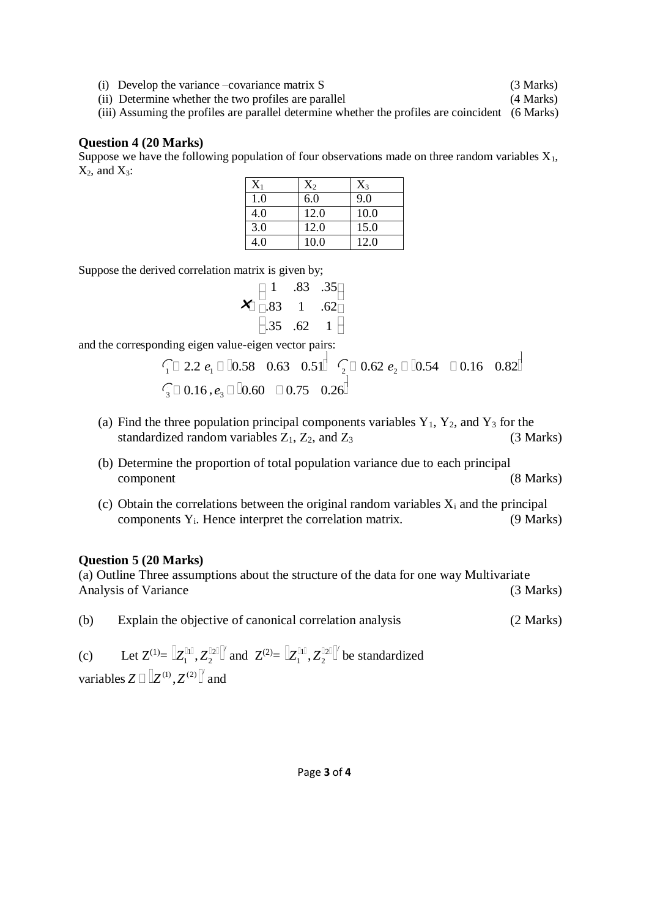(i) Develop the variance –covariance matrix S (3 Marks)

(ii) Determine whether the two profiles are parallel (4 Marks) (iii) Assuming the profiles are parallel determine whether the profiles are coincident (6 Marks)

## **Question 4 (20 Marks)**

Suppose we have the following population of four observations made on three random variables  $X_1$ ,  $X_2$ , and  $X_3$ :

| $\rm X_1$ | $X_2$ | $X_3$ |
|-----------|-------|-------|
| 1.0       | 6.0   | 9.0   |
| 4.0       | 12.0  | 10.0  |
| 3.0       | 12.0  | 15.0  |
| 4.0       | 10.0  | 12.0  |

Suppose the derived correlation matrix is given by;

|                                        | .83      | .35 <sub>□</sub> |
|----------------------------------------|----------|------------------|
| $\blacktriangle$ $\overline{\cap}$ .83 | $\sim$ 1 | $.62\Box$        |
| $\parallel$ .35                        | .62      | $\mathbf{1}$     |

and the corresponding eigen value-eigen vector pairs:

$$
\begin{array}{ccc}\n\begin{array}{ccc}\n\uparrow & 2.2 & e_1 \Box \Box 0.58 & 0.63 & 0.51\n\end{array} & \begin{array}{ccc}\n\downarrow & 0.62 & e_2 \Box \Box 0.54 & \Box \ 0.16 & 0.82\n\end{array}\n\end{array}
$$
\n
$$
\begin{array}{ccc}\n\hline\n\downarrow & 0.16 & 0.82\n\end{array}
$$

- (a) Find the three population principal components variables  $Y_1$ ,  $Y_2$ , and  $Y_3$  for the standardized random variables  $Z_1$ ,  $Z_2$ , and  $Z_3$  (3 Marks)
- (b) Determine the proportion of total population variance due to each principal component (8 Marks)
- (c) Obtain the correlations between the original random variables  $X_i$  and the principal  $components Y<sub>i</sub>$ . Hence interpret the correlation matrix.  $(9 Marks)$

## **Question 5 (20 Marks)**

(a) Outline Three assumptions about the structure of the data for one way Multivariate Analysis of Variance (3 Marks) (3 Marks)

(b) Explain the objective of canonical correlation analysis (2 Marks)

(c) Let  $Z^{(1)} = [Z_1^{\text{lin}}, Z_2^{\text{lin}}]$ 2  $\left[ Z_{1}^{\parallel 1 \parallel },Z_{2}^{\parallel 2 \parallel }\right] '$  and  $\left[ Z_{2}^{(2)}\!\!=\mathbb{\left[}\! \left. Z_{1}^{\parallel 1 \parallel },Z_{2}^{\parallel 2 \parallel }\right] \right] '$ 2  $Z_1^{\text{full}}$ ,  $Z_2^{\text{full}}$  be standardized variables  $Z \Box \Box Z^{(1)}$ ,  $Z^{(2)} \Box$  and